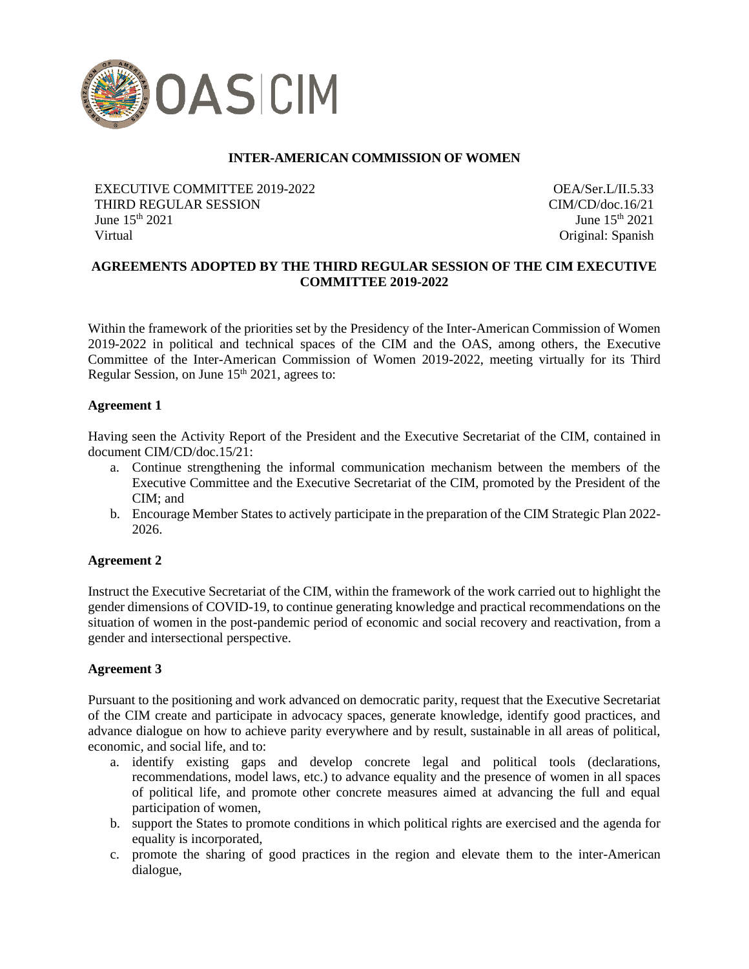

# **INTER-AMERICAN COMMISSION OF WOMEN**

EXECUTIVE COMMITTEE 2019-2022 THIRD REGULAR SESSION June 15th 2021 Virtual

OEA/Ser.L/II.5.33 CIM/CD/doc.16/21 June  $15<sup>th</sup> 2021$ Original: Spanish

# **AGREEMENTS ADOPTED BY THE THIRD REGULAR SESSION OF THE CIM EXECUTIVE COMMITTEE 2019-2022**

Within the framework of the priorities set by the Presidency of the Inter-American Commission of Women 2019-2022 in political and technical spaces of the CIM and the OAS, among others, the Executive Committee of the Inter-American Commission of Women 2019-2022, meeting virtually for its Third Regular Session, on June 15<sup>th</sup> 2021, agrees to:

#### **Agreement 1**

Having seen the Activity Report of the President and the Executive Secretariat of the CIM, contained in document CIM/CD/doc.15/21:

- a. Continue strengthening the informal communication mechanism between the members of the Executive Committee and the Executive Secretariat of the CIM, promoted by the President of the CIM; and
- b. Encourage Member States to actively participate in the preparation of the CIM Strategic Plan 2022- 2026.

#### **Agreement 2**

Instruct the Executive Secretariat of the CIM, within the framework of the work carried out to highlight the gender dimensions of COVID-19, to continue generating knowledge and practical recommendations on the situation of women in the post-pandemic period of economic and social recovery and reactivation, from a gender and intersectional perspective.

#### **Agreement 3**

Pursuant to the positioning and work advanced on democratic parity, request that the Executive Secretariat of the CIM create and participate in advocacy spaces, generate knowledge, identify good practices, and advance dialogue on how to achieve parity everywhere and by result, sustainable in all areas of political, economic, and social life, and to:

- a. identify existing gaps and develop concrete legal and political tools (declarations, recommendations, model laws, etc.) to advance equality and the presence of women in all spaces of political life, and promote other concrete measures aimed at advancing the full and equal participation of women,
- b. support the States to promote conditions in which political rights are exercised and the agenda for equality is incorporated,
- c. promote the sharing of good practices in the region and elevate them to the inter-American dialogue,